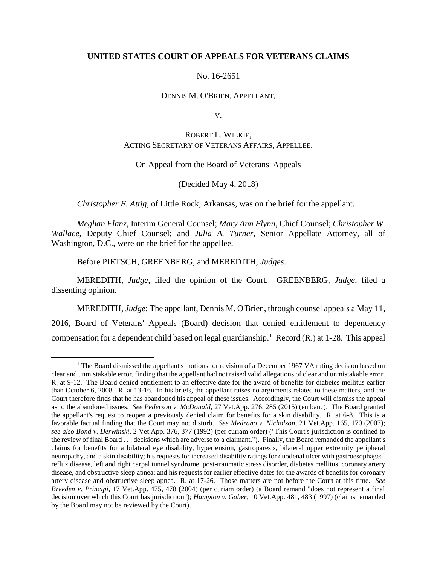## **UNITED STATES COURT OF APPEALS FOR VETERANS CLAIMS**

#### No. 16-2651

### DENNIS M. O'BRIEN, APPELLANT,

V.

# ROBERT L. WILKIE, ACTING SECRETARY OF VETERANS AFFAIRS, APPELLEE.

## On Appeal from the Board of Veterans' Appeals

## (Decided May 4, 2018)

### *Christopher F. Attig*, of Little Rock, Arkansas, was on the brief for the appellant.

*Meghan Flanz*, Interim General Counsel; *Mary Ann Flynn*, Chief Counsel; *Christopher W. Wallace*, Deputy Chief Counsel; and *Julia A. Turner*, Senior Appellate Attorney, all of Washington, D.C., were on the brief for the appellee.

Before PIETSCH, GREENBERG, and MEREDITH, *Judges*.

 $\overline{a}$ 

MEREDITH, *Judge*, filed the opinion of the Court. GREENBERG, *Judge*, filed a dissenting opinion.

MEREDITH, *Judge*: The appellant, Dennis M. O'Brien, through counsel appeals a May 11, 2016, Board of Veterans' Appeals (Board) decision that denied entitlement to dependency compensation for a dependent child based on legal guardianship.<sup>1</sup> Record (R.) at 1-28. This appeal

<sup>&</sup>lt;sup>1</sup> The Board dismissed the appellant's motions for revision of a December 1967 VA rating decision based on clear and unmistakable error, finding that the appellant had not raised valid allegations of clear and unmistakable error. R. at 9-12. The Board denied entitlement to an effective date for the award of benefits for diabetes mellitus earlier than October 6, 2008. R. at 13-16. In his briefs, the appellant raises no arguments related to these matters, and the Court therefore finds that he has abandoned his appeal of these issues. Accordingly, the Court will dismiss the appeal as to the abandoned issues. *See Pederson v. McDonald*, 27 Vet.App. 276, 285 (2015) (en banc). The Board granted the appellant's request to reopen a previously denied claim for benefits for a skin disability. R. at 6-8. This is a favorable factual finding that the Court may not disturb. *See Medrano v. Nicholson*, 21 Vet.App. 165, 170 (2007); *see also Bond v. Derwinski*, 2 Vet.App. 376, 377 (1992) (per curiam order) ("This Court's jurisdiction is confined to the review of final Board . . . decisions which are adverse to a claimant."). Finally, the Board remanded the appellant's claims for benefits for a bilateral eye disability, hypertension, gastroparesis, bilateral upper extremity peripheral neuropathy, and a skin disability; his requests for increased disability ratings for duodenal ulcer with gastroesophageal reflux disease, left and right carpal tunnel syndrome, post-traumatic stress disorder, diabetes mellitus, coronary artery disease, and obstructive sleep apnea; and his requests for earlier effective dates for the awards of benefits for coronary artery disease and obstructive sleep apnea. R. at 17-26. Those matters are not before the Court at this time. *See Breeden v. Principi*, 17 Vet.App. 475, 478 (2004) (per curiam order) (a Board remand "does not represent a final decision over which this Court has jurisdiction"); *Hampton v. Gober*, 10 Vet.App. 481, 483 (1997) (claims remanded by the Board may not be reviewed by the Court).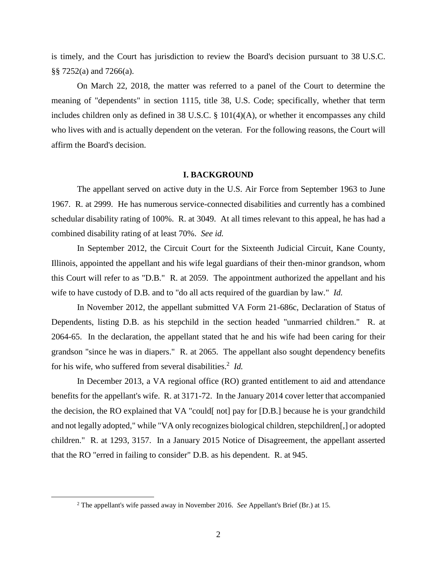is timely, and the Court has jurisdiction to review the Board's decision pursuant to 38 U.S.C. §§ 7252(a) and 7266(a).

On March 22, 2018, the matter was referred to a panel of the Court to determine the meaning of "dependents" in section 1115, title 38, U.S. Code; specifically, whether that term includes children only as defined in 38 U.S.C. § 101(4)(A), or whether it encompasses any child who lives with and is actually dependent on the veteran. For the following reasons, the Court will affirm the Board's decision.

#### **I. BACKGROUND**

The appellant served on active duty in the U.S. Air Force from September 1963 to June 1967. R. at 2999. He has numerous service-connected disabilities and currently has a combined schedular disability rating of 100%. R. at 3049. At all times relevant to this appeal, he has had a combined disability rating of at least 70%. *See id.*

In September 2012, the Circuit Court for the Sixteenth Judicial Circuit, Kane County, Illinois, appointed the appellant and his wife legal guardians of their then-minor grandson, whom this Court will refer to as "D.B." R. at 2059. The appointment authorized the appellant and his wife to have custody of D.B. and to "do all acts required of the guardian by law." *Id.*

In November 2012, the appellant submitted VA Form 21-686c, Declaration of Status of Dependents, listing D.B. as his stepchild in the section headed "unmarried children." R. at 2064-65. In the declaration, the appellant stated that he and his wife had been caring for their grandson "since he was in diapers." R. at 2065. The appellant also sought dependency benefits for his wife, who suffered from several disabilities.<sup>2</sup> Id.

In December 2013, a VA regional office (RO) granted entitlement to aid and attendance benefits for the appellant's wife. R. at 3171-72. In the January 2014 cover letter that accompanied the decision, the RO explained that VA "could[ not] pay for [D.B.] because he is your grandchild and not legally adopted," while "VA only recognizes biological children, stepchildren[,] or adopted children." R. at 1293, 3157. In a January 2015 Notice of Disagreement, the appellant asserted that the RO "erred in failing to consider" D.B. as his dependent. R. at 945.

 $\overline{a}$ 

<sup>2</sup> The appellant's wife passed away in November 2016. *See* Appellant's Brief (Br.) at 15.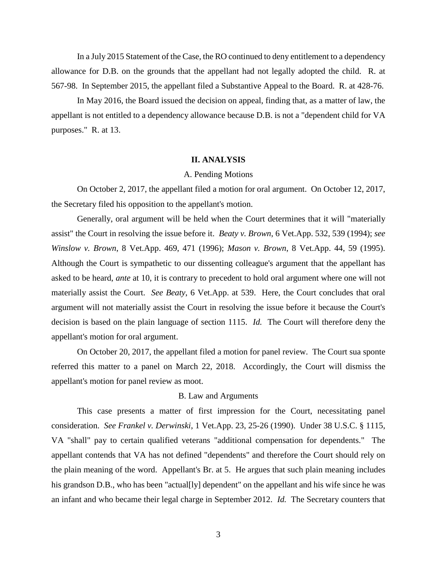In a July 2015 Statement of the Case, the RO continued to deny entitlement to a dependency allowance for D.B. on the grounds that the appellant had not legally adopted the child. R. at 567-98. In September 2015, the appellant filed a Substantive Appeal to the Board. R. at 428-76.

In May 2016, the Board issued the decision on appeal, finding that, as a matter of law, the appellant is not entitled to a dependency allowance because D.B. is not a "dependent child for VA purposes." R. at 13.

#### **II. ANALYSIS**

#### A. Pending Motions

On October 2, 2017, the appellant filed a motion for oral argument. On October 12, 2017, the Secretary filed his opposition to the appellant's motion.

Generally, oral argument will be held when the Court determines that it will "materially assist" the Court in resolving the issue before it. *Beaty v. Brown*, 6 Vet.App. 532, 539 (1994); *see Winslow v. Brown*, 8 Vet.App. 469, 471 (1996); *Mason v. Brown*, 8 Vet.App. 44, 59 (1995). Although the Court is sympathetic to our dissenting colleague's argument that the appellant has asked to be heard, *ante* at 10, it is contrary to precedent to hold oral argument where one will not materially assist the Court. *See Beaty*, 6 Vet.App. at 539. Here, the Court concludes that oral argument will not materially assist the Court in resolving the issue before it because the Court's decision is based on the plain language of section 1115. *Id.* The Court will therefore deny the appellant's motion for oral argument.

On October 20, 2017, the appellant filed a motion for panel review. The Court sua sponte referred this matter to a panel on March 22, 2018. Accordingly, the Court will dismiss the appellant's motion for panel review as moot.

# B. Law and Arguments

This case presents a matter of first impression for the Court, necessitating panel consideration. *See Frankel v. Derwinski*, 1 Vet.App. 23, 25-26 (1990). Under 38 U.S.C. § 1115, VA "shall" pay to certain qualified veterans "additional compensation for dependents." The appellant contends that VA has not defined "dependents" and therefore the Court should rely on the plain meaning of the word. Appellant's Br. at 5. He argues that such plain meaning includes his grandson D.B., who has been "actual [ly] dependent" on the appellant and his wife since he was an infant and who became their legal charge in September 2012. *Id.* The Secretary counters that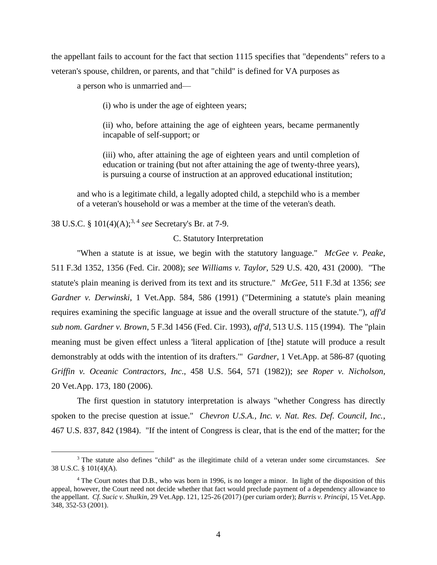the appellant fails to account for the fact that section 1115 specifies that "dependents" refers to a veteran's spouse, children, or parents, and that "child" is defined for VA purposes as

a person who is unmarried and—

(i) who is under the age of eighteen years;

(ii) who, before attaining the age of eighteen years, became permanently incapable of self-support; or

(iii) who, after attaining the age of eighteen years and until completion of education or training (but not after attaining the age of twenty-three years), is pursuing a course of instruction at an approved educational institution;

and who is a legitimate child, a legally adopted child, a stepchild who is a member of a veteran's household or was a member at the time of the veteran's death.

38 U.S.C. § 101(4)(A);3, 4 *see* Secretary's Br. at 7-9.

 $\overline{a}$ 

### C. Statutory Interpretation

"When a statute is at issue, we begin with the statutory language." *McGee v. Peake*, 511 F.3d 1352, 1356 (Fed. Cir. 2008); *see Williams v. Taylor*, 529 U.S. 420, 431 (2000). "The statute's plain meaning is derived from its text and its structure." *McGee*, 511 F.3d at 1356; *see Gardner v. Derwinski*, 1 Vet.App. 584, 586 (1991) ("Determining a statute's plain meaning requires examining the specific language at issue and the overall structure of the statute."), *aff'd sub nom. Gardner v. Brown*, 5 F.3d 1456 (Fed. Cir. 1993), *aff'd*, 513 U.S. 115 (1994). The "plain meaning must be given effect unless a 'literal application of [the] statute will produce a result demonstrably at odds with the intention of its drafters.'" *Gardner*, 1 Vet.App. at 586-87 (quoting *Griffin v. Oceanic Contractors, Inc*., 458 U.S. 564, 571 (1982)); *see Roper v. Nicholson*, 20 Vet.App. 173, 180 (2006).

The first question in statutory interpretation is always "whether Congress has directly spoken to the precise question at issue." *Chevron U.S.A., Inc. v. Nat. Res. Def. Council, Inc.*, 467 U.S. 837, 842 (1984). "If the intent of Congress is clear, that is the end of the matter; for the

<sup>3</sup> The statute also defines "child" as the illegitimate child of a veteran under some circumstances. *See* 38 U.S.C. § 101(4)(A).

<sup>&</sup>lt;sup>4</sup> The Court notes that D.B., who was born in 1996, is no longer a minor. In light of the disposition of this appeal, however, the Court need not decide whether that fact would preclude payment of a dependency allowance to the appellant. *Cf. Sucic v. Shulkin*, 29 Vet.App. 121, 125-26 (2017) (per curiam order); *Burris v. Principi*, 15 Vet.App. 348, 352-53 (2001).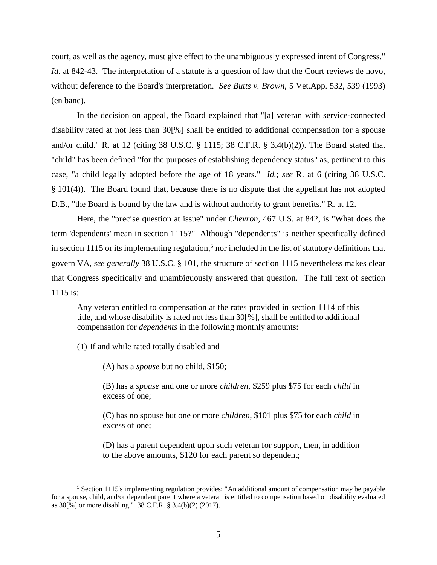court, as well as the agency, must give effect to the unambiguously expressed intent of Congress." *Id.* at 842-43. The interpretation of a statute is a question of law that the Court reviews de novo, without deference to the Board's interpretation. *See Butts v. Brown*, 5 Vet.App. 532, 539 (1993) (en banc).

In the decision on appeal, the Board explained that "[a] veteran with service-connected disability rated at not less than 30[%] shall be entitled to additional compensation for a spouse and/or child." R. at 12 (citing 38 U.S.C. § 1115; 38 C.F.R. § 3.4(b)(2)). The Board stated that "child" has been defined "for the purposes of establishing dependency status" as, pertinent to this case, "a child legally adopted before the age of 18 years." *Id.*; *see* R. at 6 (citing 38 U.S.C. § 101(4)). The Board found that, because there is no dispute that the appellant has not adopted D.B., "the Board is bound by the law and is without authority to grant benefits." R. at 12.

Here, the "precise question at issue" under *Chevron*, 467 U.S. at 842, is "What does the term 'dependents' mean in section 1115?" Although "dependents" is neither specifically defined in section 1115 or its implementing regulation,<sup>5</sup> nor included in the list of statutory definitions that govern VA, *see generally* 38 U.S.C. § 101, the structure of section 1115 nevertheless makes clear that Congress specifically and unambiguously answered that question. The full text of section 1115 is:

Any veteran entitled to compensation at the rates provided in section 1114 of this title, and whose disability is rated not less than 30[%], shall be entitled to additional compensation for *dependents* in the following monthly amounts:

(1) If and while rated totally disabled and—

 $\overline{a}$ 

(A) has a *spouse* but no child, \$150;

(B) has a *spouse* and one or more *children*, \$259 plus \$75 for each *child* in excess of one;

(C) has no spouse but one or more *children*, \$101 plus \$75 for each *child* in excess of one;

(D) has a parent dependent upon such veteran for support, then, in addition to the above amounts, \$120 for each parent so dependent;

<sup>5</sup> Section 1115's implementing regulation provides: "An additional amount of compensation may be payable for a spouse, child, and/or dependent parent where a veteran is entitled to compensation based on disability evaluated as 30[%] or more disabling." 38 C.F.R. § 3.4(b)(2) (2017).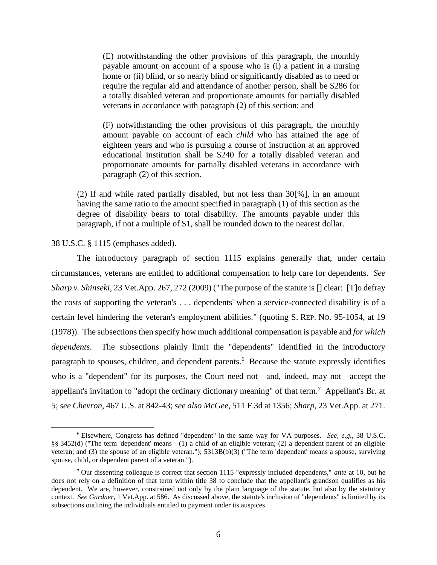(E) notwithstanding the other provisions of this paragraph, the monthly payable amount on account of a spouse who is (i) a patient in a nursing home or (ii) blind, or so nearly blind or significantly disabled as to need or require the regular aid and attendance of another person, shall be \$286 for a totally disabled veteran and proportionate amounts for partially disabled veterans in accordance with paragraph (2) of this section; and

(F) notwithstanding the other provisions of this paragraph, the monthly amount payable on account of each *child* who has attained the age of eighteen years and who is pursuing a course of instruction at an approved educational institution shall be \$240 for a totally disabled veteran and proportionate amounts for partially disabled veterans in accordance with paragraph (2) of this section.

(2) If and while rated partially disabled, but not less than 30[%], in an amount having the same ratio to the amount specified in paragraph (1) of this section as the degree of disability bears to total disability. The amounts payable under this paragraph, if not a multiple of \$1, shall be rounded down to the nearest dollar.

38 U.S.C. § 1115 (emphases added).

 $\overline{a}$ 

The introductory paragraph of section 1115 explains generally that, under certain circumstances, veterans are entitled to additional compensation to help care for dependents. *See Sharp v. Shinseki*, 23 Vet.App. 267, 272 (2009) ("The purpose of the statute is [] clear: [T]o defray the costs of supporting the veteran's . . . dependents' when a service-connected disability is of a certain level hindering the veteran's employment abilities." (quoting S. REP. NO. 95-1054, at 19 (1978)). The subsections then specify how much additional compensation is payable and *for which dependents*. The subsections plainly limit the "dependents" identified in the introductory paragraph to spouses, children, and dependent parents.<sup>6</sup> Because the statute expressly identifies who is a "dependent" for its purposes, the Court need not—and, indeed, may not—accept the appellant's invitation to "adopt the ordinary dictionary meaning" of that term.<sup>7</sup> Appellant's Br. at 5; *see Chevron*, 467 U.S. at 842-43; *see also McGee*, 511 F.3d at 1356; *Sharp*, 23 Vet.App. at 271.

<sup>6</sup> Elsewhere, Congress has defined "dependent" in the same way for VA purposes. *See, e.g.*, 38 U.S.C. §§ 3452(d) ("The term 'dependent' means—(1) a child of an eligible veteran; (2) a dependent parent of an eligible veteran; and (3) the spouse of an eligible veteran."); 5313B(b)(3) ("The term 'dependent' means a spouse, surviving spouse, child, or dependent parent of a veteran.").

<sup>7</sup> Our dissenting colleague is correct that section 1115 "expressly included dependents," *ante* at 10, but he does not rely on a definition of that term within title 38 to conclude that the appellant's grandson qualifies as his dependent. We are, however, constrained not only by the plain language of the statute, but also by the statutory context. *See Gardner*, 1 Vet.App. at 586. As discussed above, the statute's inclusion of "dependents" is limited by its subsections outlining the individuals entitled to payment under its auspices.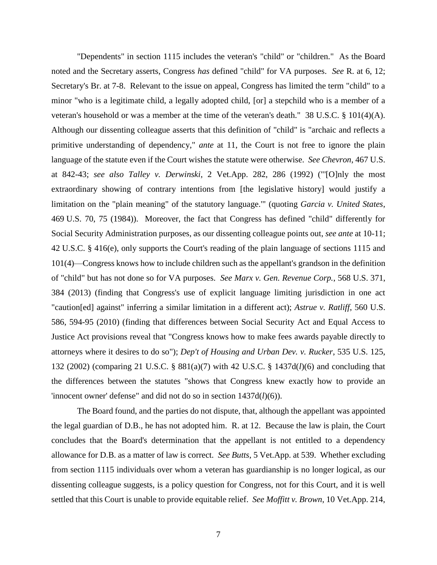"Dependents" in section 1115 includes the veteran's "child" or "children." As the Board noted and the Secretary asserts, Congress *has* defined "child" for VA purposes. *See* R. at 6, 12; Secretary's Br. at 7-8. Relevant to the issue on appeal, Congress has limited the term "child" to a minor "who is a legitimate child, a legally adopted child, [or] a stepchild who is a member of a veteran's household or was a member at the time of the veteran's death." 38 U.S.C. § 101(4)(A). Although our dissenting colleague asserts that this definition of "child" is "archaic and reflects a primitive understanding of dependency," *ante* at 11, the Court is not free to ignore the plain language of the statute even if the Court wishes the statute were otherwise. *See Chevron*, 467 U.S. at 842-43; *see also Talley v. Derwinski*, 2 Vet.App. 282, 286 (1992) ("'[O]nly the most extraordinary showing of contrary intentions from [the legislative history] would justify a limitation on the "plain meaning" of the statutory language.'" (quoting *Garcia v. United States*, 469 U.S. 70, 75 (1984)). Moreover, the fact that Congress has defined "child" differently for Social Security Administration purposes, as our dissenting colleague points out, *see ante* at 10-11; 42 U.S.C. § 416(e), only supports the Court's reading of the plain language of sections 1115 and 101(4)—Congress knows how to include children such as the appellant's grandson in the definition of "child" but has not done so for VA purposes. *See Marx v. Gen. Revenue Corp.*, 568 U.S. 371, 384 (2013) (finding that Congress's use of explicit language limiting jurisdiction in one act "caution[ed] against" inferring a similar limitation in a different act); *Astrue v. Ratliff*, 560 U.S. 586, 594-95 (2010) (finding that differences between Social Security Act and Equal Access to Justice Act provisions reveal that "Congress knows how to make fees awards payable directly to attorneys where it desires to do so"); *Dep't of Housing and Urban Dev. v. Rucker*, 535 U.S. 125, 132 (2002) (comparing 21 U.S.C. § 881(a)(7) with 42 U.S.C. § 1437d(*l*)(6) and concluding that the differences between the statutes "shows that Congress knew exactly how to provide an 'innocent owner' defense" and did not do so in section 1437d(*l*)(6)).

The Board found, and the parties do not dispute, that, although the appellant was appointed the legal guardian of D.B., he has not adopted him. R. at 12. Because the law is plain, the Court concludes that the Board's determination that the appellant is not entitled to a dependency allowance for D.B. as a matter of law is correct. *See Butts*, 5 Vet.App. at 539. Whether excluding from section 1115 individuals over whom a veteran has guardianship is no longer logical, as our dissenting colleague suggests, is a policy question for Congress, not for this Court, and it is well settled that this Court is unable to provide equitable relief. *See Moffitt v. Brown*, 10 Vet.App. 214,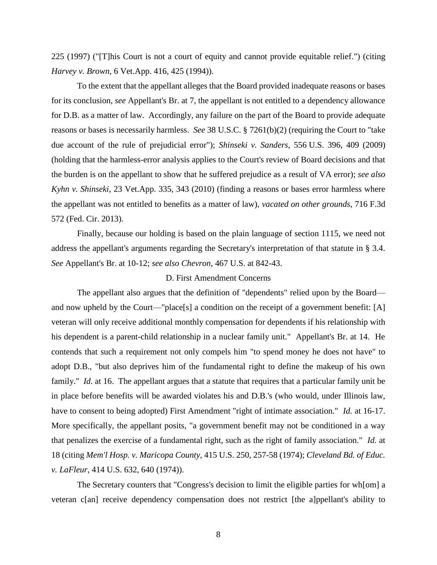225 (1997) ("[T]his Court is not a court of equity and cannot provide equitable relief.") (citing *Harvey v. Brown*, 6 Vet.App. 416, 425 (1994)).

To the extent that the appellant alleges that the Board provided inadequate reasons or bases for its conclusion, *see* Appellant's Br. at 7, the appellant is not entitled to a dependency allowance for D.B. as a matter of law. Accordingly, any failure on the part of the Board to provide adequate reasons or bases is necessarily harmless. *See* 38 U.S.C. § 7261(b)(2) (requiring the Court to "take due account of the rule of prejudicial error"); *Shinseki v. Sanders*, 556 U.S. 396, 409 (2009) (holding that the harmless-error analysis applies to the Court's review of Board decisions and that the burden is on the appellant to show that he suffered prejudice as a result of VA error); *see also Kyhn v. Shinseki*, 23 Vet.App. 335, 343 (2010) (finding a reasons or bases error harmless where the appellant was not entitled to benefits as a matter of law), *vacated on other grounds*, 716 F.3d 572 (Fed. Cir. 2013).

Finally, because our holding is based on the plain language of section 1115, we need not address the appellant's arguments regarding the Secretary's interpretation of that statute in § 3.4. *See* Appellant's Br. at 10-12; *see also Chevron*, 467 U.S. at 842-43.

### D. First Amendment Concerns

The appellant also argues that the definition of "dependents" relied upon by the Board and now upheld by the Court—"place[s] a condition on the receipt of a government benefit: [A] veteran will only receive additional monthly compensation for dependents if his relationship with his dependent is a parent-child relationship in a nuclear family unit." Appellant's Br. at 14. He contends that such a requirement not only compels him "to spend money he does not have" to adopt D.B., "but also deprives him of the fundamental right to define the makeup of his own family." *Id.* at 16. The appellant argues that a statute that requires that a particular family unit be in place before benefits will be awarded violates his and D.B.'s (who would, under Illinois law, have to consent to being adopted) First Amendment "right of intimate association." *Id.* at 16-17. More specifically, the appellant posits, "a government benefit may not be conditioned in a way that penalizes the exercise of a fundamental right, such as the right of family association." *Id.* at 18 (citing *Mem'l Hosp. v. Maricopa County*, 415 U.S. 250, 257-58 (1974); *Cleveland Bd. of Educ. v. LaFleur*, 414 U.S. 632, 640 (1974)).

The Secretary counters that "Congress's decision to limit the eligible parties for wh[om] a veteran c[an] receive dependency compensation does not restrict [the a]ppellant's ability to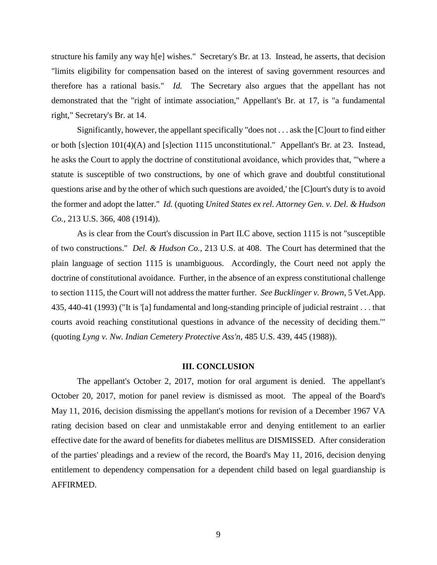structure his family any way h[e] wishes." Secretary's Br. at 13. Instead, he asserts, that decision "limits eligibility for compensation based on the interest of saving government resources and therefore has a rational basis." *Id.* The Secretary also argues that the appellant has not demonstrated that the "right of intimate association," Appellant's Br. at 17, is "a fundamental right," Secretary's Br. at 14.

Significantly, however, the appellant specifically "does not . . . ask the [C]ourt to find either or both [s]ection 101(4)(A) and [s]ection 1115 unconstitutional." Appellant's Br. at 23. Instead, he asks the Court to apply the doctrine of constitutional avoidance, which provides that, "'where a statute is susceptible of two constructions, by one of which grave and doubtful constitutional questions arise and by the other of which such questions are avoided,' the [C]ourt's duty is to avoid the former and adopt the latter." *Id.* (quoting *United States ex rel. Attorney Gen. v. Del. & Hudson Co.*, 213 U.S. 366, 408 (1914)).

As is clear from the Court's discussion in Part II.C above, section 1115 is not "susceptible of two constructions." *Del. & Hudson Co.*, 213 U.S. at 408. The Court has determined that the plain language of section 1115 is unambiguous. Accordingly, the Court need not apply the doctrine of constitutional avoidance. Further, in the absence of an express constitutional challenge to section 1115, the Court will not address the matter further. *See Bucklinger v. Brown*, 5 Vet.App. 435, 440-41 (1993) ("It is '[a] fundamental and long-standing principle of judicial restraint . . . that courts avoid reaching constitutional questions in advance of the necessity of deciding them.'" (quoting *Lyng v. Nw. Indian Cemetery Protective Ass'n*, 485 U.S. 439, 445 (1988)).

### **III. CONCLUSION**

The appellant's October 2, 2017, motion for oral argument is denied. The appellant's October 20, 2017, motion for panel review is dismissed as moot. The appeal of the Board's May 11, 2016, decision dismissing the appellant's motions for revision of a December 1967 VA rating decision based on clear and unmistakable error and denying entitlement to an earlier effective date for the award of benefits for diabetes mellitus are DISMISSED. After consideration of the parties' pleadings and a review of the record, the Board's May 11, 2016, decision denying entitlement to dependency compensation for a dependent child based on legal guardianship is AFFIRMED.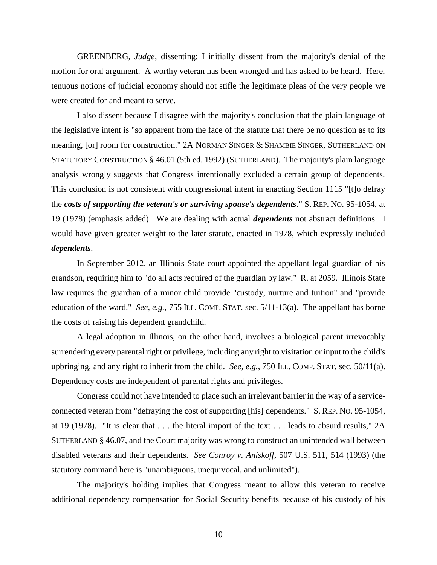GREENBERG, *Judge*, dissenting: I initially dissent from the majority's denial of the motion for oral argument. A worthy veteran has been wronged and has asked to be heard. Here, tenuous notions of judicial economy should not stifle the legitimate pleas of the very people we were created for and meant to serve.

I also dissent because I disagree with the majority's conclusion that the plain language of the legislative intent is "so apparent from the face of the statute that there be no question as to its meaning, [or] room for construction." 2A NORMAN SINGER & SHAMBIE SINGER, SUTHERLAND ON STATUTORY CONSTRUCTION § 46.01 (5th ed. 1992) (SUTHERLAND). The majority's plain language analysis wrongly suggests that Congress intentionally excluded a certain group of dependents. This conclusion is not consistent with congressional intent in enacting Section 1115 "[t]o defray the *costs of supporting the veteran's or surviving spouse's dependents*." S. REP. NO. 95-1054, at 19 (1978) (emphasis added). We are dealing with actual *dependents* not abstract definitions. I would have given greater weight to the later statute, enacted in 1978, which expressly included *dependents*.

In September 2012, an Illinois State court appointed the appellant legal guardian of his grandson, requiring him to "do all acts required of the guardian by law." R. at 2059. Illinois State law requires the guardian of a minor child provide "custody, nurture and tuition" and "provide education of the ward." *See, e.g.*, 755 ILL. COMP. STAT. sec. 5/11-13(a). The appellant has borne the costs of raising his dependent grandchild.

A legal adoption in Illinois, on the other hand, involves a biological parent irrevocably surrendering every parental right or privilege, including any right to visitation or input to the child's upbringing, and any right to inherit from the child. *See, e.g.*, 750 ILL. COMP. STAT, sec. 50/11(a). Dependency costs are independent of parental rights and privileges.

Congress could not have intended to place such an irrelevant barrier in the way of a serviceconnected veteran from "defraying the cost of supporting [his] dependents." S. REP. NO. 95-1054, at 19 (1978). "It is clear that . . . the literal import of the text . . . leads to absurd results," 2A SUTHERLAND § 46.07, and the Court majority was wrong to construct an unintended wall between disabled veterans and their dependents. *See Conroy v. Aniskoff*, 507 U.S. 511, 514 (1993) (the statutory command here is "unambiguous, unequivocal, and unlimited").

The majority's holding implies that Congress meant to allow this veteran to receive additional dependency compensation for Social Security benefits because of his custody of his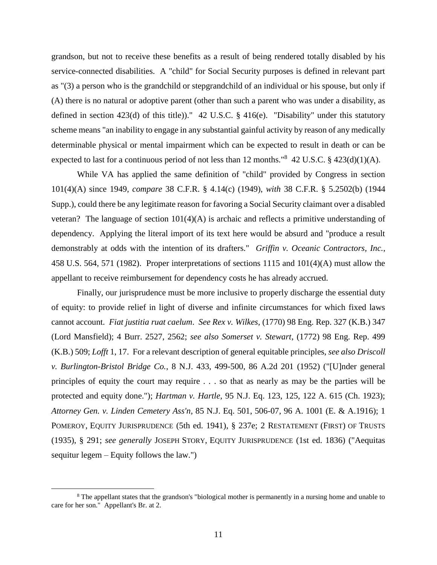grandson, but not to receive these benefits as a result of being rendered totally disabled by his service-connected disabilities. A "child" for Social Security purposes is defined in relevant part as "(3) a person who is the grandchild or stepgrandchild of an individual or his spouse, but only if (A) there is no natural or adoptive parent (other than such a parent who was under a disability, as defined in section 423(d) of this title))." 42 U.S.C. § 416(e). "Disability" under this statutory scheme means "an inability to engage in any substantial gainful activity by reason of any medically determinable physical or mental impairment which can be expected to result in death or can be expected to last for a continuous period of not less than 12 months."<sup>8</sup> 42 U.S.C.  $\S$  423(d)(1)(A).

While VA has applied the same definition of "child" provided by Congress in section 101(4)(A) since 1949, *compare* 38 C.F.R. § 4.14(c) (1949), *with* 38 C.F.R. § 5.2502(b) (1944 Supp.), could there be any legitimate reason for favoring a Social Security claimant over a disabled veteran? The language of section  $101(4)(A)$  is archaic and reflects a primitive understanding of dependency. Applying the literal import of its text here would be absurd and "produce a result demonstrably at odds with the intention of its drafters." *Griffin v. Oceanic Contractors, Inc.*, 458 U.S. 564, 571 (1982). Proper interpretations of sections 1115 and 101(4)(A) must allow the appellant to receive reimbursement for dependency costs he has already accrued.

Finally, our jurisprudence must be more inclusive to properly discharge the essential duty of equity: to provide relief in light of diverse and infinite circumstances for which fixed laws cannot account. *Fiat justitia ruat caelum*. *See Rex v. Wilkes*, (1770) 98 Eng. Rep. 327 (K.B.) 347 (Lord Mansfield); 4 Burr. 2527, 2562; *see also Somerset v. Stewart*, (1772) 98 Eng. Rep. 499 (K.B.) 509; *Lofft* 1, 17. For a relevant description of general equitable principles, *see also Driscoll v. Burlington-Bristol Bridge Co.*, 8 N.J. 433, 499-500, 86 A.2d 201 (1952) ("[U]nder general principles of equity the court may require . . . so that as nearly as may be the parties will be protected and equity done."); *Hartman v. Hartle*, 95 N.J. Eq. 123, 125, 122 A. 615 (Ch. 1923); *Attorney Gen. v. Linden Cemetery Ass'n*, 85 N.J. Eq. 501, 506-07, 96 A. 1001 (E. & A.1916); 1 POMEROY, EQUITY JURISPRUDENCE (5th ed. 1941), § 237e; 2 RESTATEMENT (FIRST) OF TRUSTS (1935), § 291; *see generally* JOSEPH STORY, EQUITY JURISPRUDENCE (1st ed. 1836) ("Aequitas sequitur legem – Equity follows the law.")

 $\overline{a}$ 

<sup>8</sup> The appellant states that the grandson's "biological mother is permanently in a nursing home and unable to care for her son." Appellant's Br. at 2.